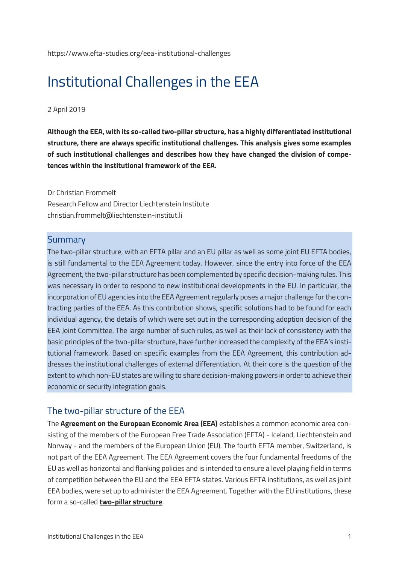https://www.efta-studies.org/eea-institutional-challenges

# Institutional Challenges in the EEA

#### 2 April 2019

**Although the EEA, with its so-called two-pillar structure, has a highly differentiated institutional structure, there are always specific institutional challenges. This analysis gives some examples of such institutional challenges and describes how they have changed the division of competences within the institutional framework of the EEA.**

#### Dr Christian Frommelt

Research Fellow and Director Liechtenstein Institute christian.frommelt@liechtenstein-institut.li

### **Summary**

The two-pillar structure, with an EFTA pillar and an EU pillar as well as some joint EU EFTA bodies, is still fundamental to the EEA Agreement today. However, since the entry into force of the EEA Agreement, the two-pillar structure has been complemented by specific decision-making rules. This was necessary in order to respond to new institutional developments in the EU. In particular, the incorporation of EU agencies into the EEA Agreement regularly poses a major challenge for the contracting parties of the EEA. As this contribution shows, specific solutions had to be found for each individual agency, the details of which were set out in the corresponding adoption decision of the EEA Joint Committee. The large number of such rules, as well as their lack of consistency with the basic principles of the two-pillar structure, have further increased the complexity of the EEA's institutional framework. Based on specific examples from the EEA Agreement, this contribution addresses the institutional challenges of external differentiation. At their core is the question of the extent to which non-EU states are willing to share decision-making powers in order to achieve their economic or security integration goals.

## The two-pillar structure of the EEA

The **[Agreement on the European Economic Area \(EEA\)](https://www.efta.int/Legal-Text/EEA-Agreement-1327)** establishes a common economic area consisting of the members of the European Free Trade Association (EFTA) - Iceland, Liechtenstein and Norway - and the members of the European Union (EU). The fourth EFTA member, Switzerland, is not part of the EEA Agreement. The EEA Agreement covers the four fundamental freedoms of the EU as well as horizontal and flanking policies and is intended to ensure a level playing field in terms of competition between the EU and the EEA EFTA states. Various EFTA institutions, as well as joint EEA bodies, were set up to administer the EEA Agreement. Together with the EU institutions, these form a so-called **[two-pillar structure](https://www.efta.int/eea/eea-institutions)**.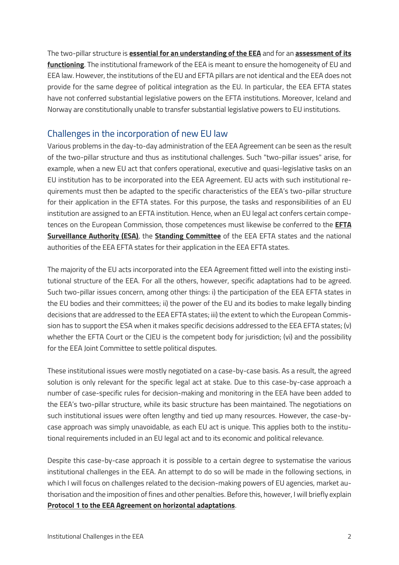The two-pillar structure is **[essential for an understanding of the EEA](https://www.efta-studies.org/eea-two-pillar-structure)** and for an **[assessment of its](https://www.efta-studies.org/blog/eu-und-ewr-efta-staaten-unterschiedliche-prinzipien)  [functioning](https://www.efta-studies.org/blog/eu-und-ewr-efta-staaten-unterschiedliche-prinzipien)**. The institutional framework of the EEA is meant to ensure the homogeneity of EU and EEA law. However, the institutions of the EU and EFTA pillars are not identical and the EEA does not provide for the same degree of political integration as the EU. In particular, the EEA EFTA states have not conferred substantial legislative powers on the EFTA institutions. Moreover, Iceland and Norway are constitutionally unable to transfer substantial legislative powers to EU institutions.

## Challenges in the incorporation of new EU law

Various problems in the day-to-day administration of the EEA Agreement can be seen as the result of the two-pillar structure and thus as institutional challenges. Such "two-pillar issues" arise, for example, when a new EU act that confers operational, executive and quasi-legislative tasks on an EU institution has to be incorporated into the EEA Agreement. EU acts with such institutional requirements must then be adapted to the specific characteristics of the EEA's two-pillar structure for their application in the EFTA states. For this purpose, the tasks and responsibilities of an EU institution are assigned to an EFTA institution. Hence, when an EU legal act confers certain competences on the European Commission, those competences must likewise be conferred to the **[EFTA](http://www.eftasurv.int/)  [Surveillance Authority \(ESA\)](http://www.eftasurv.int/)**, the **[Standing Committee](https://www.efta.int/eea/eea-institutions/standing-committee)** of the EEA EFTA states and the national authorities of the EEA EFTA states for their application in the EEA EFTA states.

The majority of the EU acts incorporated into the EEA Agreement fitted well into the existing institutional structure of the EEA. For all the others, however, specific adaptations had to be agreed. Such two-pillar issues concern, among other things: i) the participation of the EEA EFTA states in the EU bodies and their committees; ii) the power of the EU and its bodies to make legally binding decisions that are addressed to the EEA EFTA states; iii) the extent to which the European Commission has to support the ESA when it makes specific decisions addressed to the EEA EFTA states; (v) whether the EFTA Court or the CJEU is the competent body for jurisdiction; (vi) and the possibility for the EEA Joint Committee to settle political disputes.

These institutional issues were mostly negotiated on a case-by-case basis. As a result, the agreed solution is only relevant for the specific legal act at stake. Due to this case-by-case approach a number of case-specific rules for decision-making and monitoring in the EEA have been added to the EEA's two-pillar structure, while its basic structure has been maintained. The negotiations on such institutional issues were often lengthy and tied up many resources. However, the case-bycase approach was simply unavoidable, as each EU act is unique. This applies both to the institutional requirements included in an EU legal act and to its economic and political relevance.

Despite this case-by-case approach it is possible to a certain degree to systematise the various institutional challenges in the EEA. An attempt to do so will be made in the following sections, in which I will focus on challenges related to the decision-making powers of EU agencies, market authorisation and the imposition of fines and other penalties. Before this, however, I will briefly explain **[Protocol 1 to the EEA Agreement on horizontal adaptations](https://www.efta.int/legal-texts/eea/protocols-to-the-agreement)**.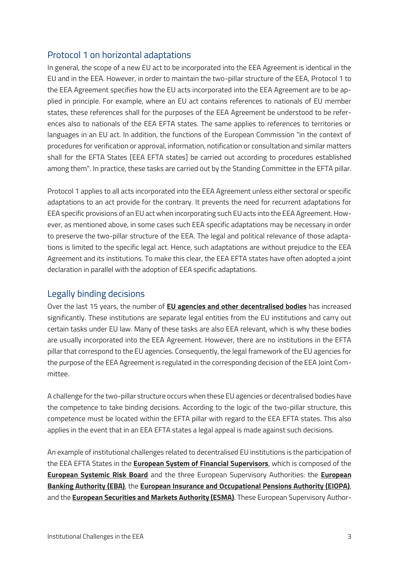## Protocol 1 on horizontal adaptations

In general, the scope of a new EU act to be incorporated into the EEA Agreement is identical in the EU and in the EEA. However, in order to maintain the two-pillar structure of the EEA, Protocol 1 to the EEA Agreement specifies how the EU acts incorporated into the EEA Agreement are to be applied in principle. For example, where an EU act contains references to nationals of EU member states, these references shall for the purposes of the EEA Agreement be understood to be references also to nationals of the EEA EFTA states. The same applies to references to territories or languages in an EU act. In addition, the functions of the European Commission "in the context of procedures for verification or approval, information, notification or consultation and similar matters shall for the EFTA States [EEA EFTA states] be carried out according to procedures established among them". In practice, these tasks are carried out by the Standing Committee in the EFTA pillar.

Protocol 1 applies to all acts incorporated into the EEA Agreement unless either sectoral or specific adaptations to an act provide for the contrary. It prevents the need for recurrent adaptations for EEA specific provisions of an EU act when incorporating such EU acts into the EEA Agreement. However, as mentioned above, in some cases such EEA specific adaptations may be necessary in order to preserve the two-pillar structure of the EEA. The legal and political relevance of those adaptations is limited to the specific legal act. Hence, such adaptations are without prejudice to the EEA Agreement and its institutions. To make this clear, the EEA EFTA states have often adopted a joint declaration in parallel with the adoption of EEA specific adaptations.

## Legally binding decisions

Over the last 15 years, the number of **[EU agencies and other decentralised bodies](https://europa.eu/european-union/about-eu/agencies_en)** has increased significantly. These institutions are separate legal entities from the EU institutions and carry out certain tasks under EU law. Many of these tasks are also EEA relevant, which is why these bodies are usually incorporated into the EEA Agreement. However, there are no institutions in the EFTA pillar that correspond to the EU agencies. Consequently, the legal framework of the EU agencies for the purpose of the EEA Agreement is regulated in the corresponding decision of the EEA Joint Committee.

A challenge for the two-pillar structure occurs when these EU agencies or decentralised bodies have the competence to take binding decisions. According to the logic of the two-pillar structure, this competence must be located within the EFTA pillar with regard to the EEA EFTA states. This also applies in the event that in an EEA EFTA states a legal appeal is made against such decisions.

An example of institutional challenges related to decentralised EU institutions is the participation of the EEA EFTA States in the **[European System of Financial Supervisors](http://www.europarl.europa.eu/factsheets/en/sheet/84/europaisches-system-der-finanzaufsicht-esfs-)**, which is composed of the **[European Systemic Risk Board](https://www.esrb.europa.eu/home/html/index.en.html)** and the three European Supervisory Authorities: the **[European](https://eba.europa.eu/languages/home_en)  [Banking Authority \(EBA\)](https://eba.europa.eu/languages/home_en)**, the **[European Insurance and Occupational Pensions Authority \(EIOPA\)](https://europa.eu/european-union/about-eu/agencies/eiopa_en)**, and the **[European Securities and Markets Authority \(ESMA\)](https://www.esma.europa.eu/)**. These European Supervisory Author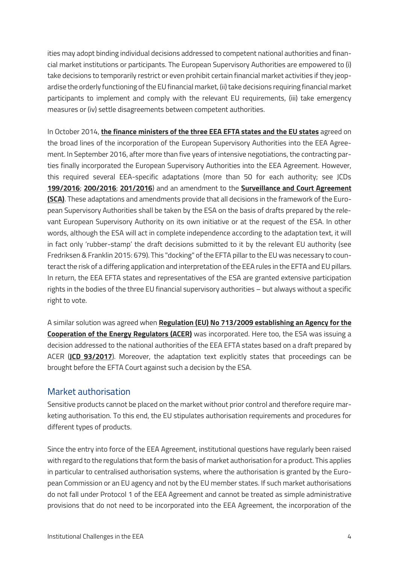ities may adopt binding individual decisions addressed to competent national authorities and financial market institutions or participants. The European Supervisory Authorities are empowered to (i) take decisions to temporarily restrict or even prohibit certain financial market activities if they jeopardise the orderly functioning of the EU financial market, (ii) take decisions requiring financial market participants to implement and comply with the relevant EU requirements, (iii) take emergency measures or (iv) settle disagreements between competent authorities.

In October 2014, **[the finance ministers of the three EEA EFTA states and the EU states](https://www.llv.li/files/sewr/ST_14178_2014_REV_1_EN.pdf)** agreed on the broad lines of the incorporation of the European Supervisory Authorities into the EEA Agreement. In September 2016, after more than five years of intensive negotiations, the contracting parties finally incorporated the European Supervisory Authorities into the EEA Agreement. However, this required several EEA-specific adaptations (more than 50 for each authority; see JCDs **[199/2016](https://www.efta.int/sites/default/files/documents/legal-texts/eea/other-legal-documents/adopted-joint-committee-decisions/2016%20-%20English/199-2016.pdf)**; **[200/2016](https://www.efta.int/sites/default/files/documents/legal-texts/eea/other-legal-documents/adopted-joint-committee-decisions/2016%20-%20English/200-2016.pdf)**; **[201/2016](https://www.efta.int/sites/default/files/documents/legal-texts/eea/other-legal-documents/adopted-joint-committee-decisions/2016%20-%20English/201-2016.pdf)**) and an amendment to the **[Surveillance and Court Agreement](https://www.efta.int/legal-texts/the-surveillance-and-court-agreement/agreement-annexes-and-protocols)  [\(SCA\)](https://www.efta.int/legal-texts/the-surveillance-and-court-agreement/agreement-annexes-and-protocols)**. These adaptations and amendments provide that all decisions in the framework of the European Supervisory Authorities shall be taken by the ESA on the basis of drafts prepared by the relevant European Supervisory Authority on its own initiative or at the request of the ESA. In other words, although the ESA will act in complete independence according to the adaptation text, it will in fact only 'rubber-stamp' the draft decisions submitted to it by the relevant EU authority (see Fredriksen & Franklin 2015: 679). This "docking" of the EFTA pillar to the EU was necessary to counteract the risk of a differing application and interpretation of the EEA rules in the EFTA and EU pillars. In return, the EEA EFTA states and representatives of the ESA are granted extensive participation rights in the bodies of the three EU financial supervisory authorities – but always without a specific right to vote.

A similar solution was agreed when **[Regulation \(EU\) No 713/2009 establishing an Agency for the](https://eur-lex.europa.eu/legal-content/EN/TXT/?qid=1551099963894&uri=CELEX%3A32009R0713)  [Cooperation of the Energy Regulators \(ACER\)](https://eur-lex.europa.eu/legal-content/EN/TXT/?qid=1551099963894&uri=CELEX%3A32009R0713)** was incorporated. Here too, the ESA was issuing a decision addressed to the national authorities of the EEA EFTA states based on a draft prepared by ACER (**[JCD 93/2017](https://www.efta.int/sites/default/files/documents/legal-texts/eea/other-legal-documents/adopted-joint-committee-decisions/2017%20-%20English/093-2017.pdf)**). Moreover, the adaptation text explicitly states that proceedings can be brought before the EFTA Court against such a decision by the ESA.

## Market authorisation

Sensitive products cannot be placed on the market without prior control and therefore require marketing authorisation. To this end, the EU stipulates authorisation requirements and procedures for different types of products.

Since the entry into force of the EEA Agreement, institutional questions have regularly been raised with regard to the regulations that form the basis of market authorisation for a product. This applies in particular to centralised authorisation systems, where the authorisation is granted by the European Commission or an EU agency and not by the EU member states. If such market authorisations do not fall under Protocol 1 of the EEA Agreement and cannot be treated as simple administrative provisions that do not need to be incorporated into the EEA Agreement, the incorporation of the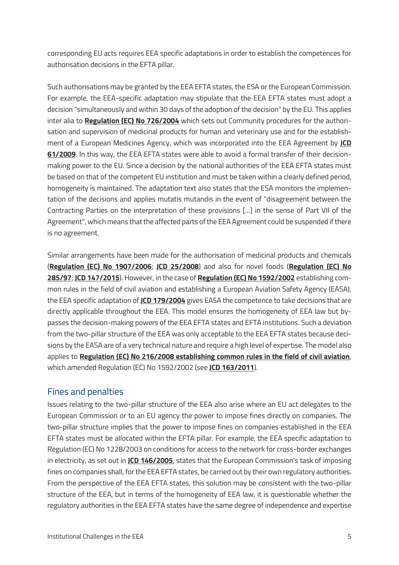corresponding EU acts requires EEA specific adaptations in order to establish the competences for authorisation decisions in the EFTA pillar.

Such authorisations may be granted by the EEA EFTA states, the ESA or the European Commission. For example, the EEA-specific adaptation may stipulate that the EEA EFTA states must adopt a decision "simultaneously and within 30 days of the adoption of the decision" by the EU. This applies inter alia to **[Regulation \(EC\) No 726/2004](https://eur-lex.europa.eu/legal-content/EN/TXT/?qid=1551100033213&uri=CELEX%3A32004R0726)** which sets out Community procedures for the authorisation and supervision of medicinal products for human and veterinary use and for the establishment of a European Medicines Agency, which was incorporated into the EEA Agreement by **[JCD](https://www.efta.int/sites/default/files/documents/legal-texts/eea/other-legal-documents/adopted-joint-committee-decisions/2009%20-%20English/061-2009.pdf)  [61/2009](https://www.efta.int/sites/default/files/documents/legal-texts/eea/other-legal-documents/adopted-joint-committee-decisions/2009%20-%20English/061-2009.pdf)**. In this way, the EEA EFTA states were able to avoid a formal transfer of their decisionmaking power to the EU. Since a decision by the national authorities of the EEA EFTA states must be based on that of the competent EU institution and must be taken within a clearly defined period, homogeneity is maintained. The adaptation text also states that the ESA monitors the implementation of the decisions and applies mutatis mutandis in the event of "disagreement between the Contracting Parties on the interpretation of these provisions [...] in the sense of Part VII of the Agreement", which means that the affected parts of the EEA Agreement could be suspended if there is no agreement.

Similar arrangements have been made for the authorisation of medicinal products and chemicals (**[Regulation \(EC\) No 1907/2006](https://eur-lex.europa.eu/legal-content/EN/TXT/?qid=1551100283470&uri=CELEX%3A32006R1907)**; **[JCD 25/2008](https://www.efta.int/sites/default/files/documents/legal-texts/eea/other-legal-documents/adopted-joint-committee-decisions/2008%20-%20English/025-2008.pdf)**) and also for novel foods (**[Regulation \(EC\) No](https://eur-lex.europa.eu/legal-content/EN/TXT/?uri=CELEX%3A31997R0285&from=DE&lang3=choose&lang2=choose&lang1=EN)  [285/97](https://eur-lex.europa.eu/legal-content/EN/TXT/?uri=CELEX%3A31997R0285&from=DE&lang3=choose&lang2=choose&lang1=EN)**; **[JCD 147/2015](https://www.efta.int/sites/default/files/documents/legal-texts/eea/other-legal-documents/adopted-joint-committee-decisions/2015%20-%20English/147-2015.pdf)**). However, in the case of **[Regulation \(EC\) No 1592/2002](https://eur-lex.europa.eu/legal-content/EN/TXT/?qid=1551100328803&uri=CELEX%3A32002R1592)** establishing common rules in the field of civil aviation and establishing a European Aviation Safety Agency (EASA), the EEA specific adaptation of **[JCD 179/2004](https://www.efta.int/sites/default/files/documents/legal-texts/eea/other-legal-documents/adopted-joint-committee-decisions/2004%20-%20English/179-2004.pdf)** gives EASA the competence to take decisions that are directly applicable throughout the EEA. This model ensures the homogeneity of EEA law but bypasses the decision-making powers of the EEA EFTA states and EFTA institutions. Such a deviation from the two-pillar structure of the EEA was only acceptable to the EEA EFTA states because decisions by the EASA are of a very technical nature and require a high level of expertise. The model also applies to **[Regulation \(EC\) No 216/2008 establishing common rules in the field of civil aviation](https://eur-lex.europa.eu/legal-content/EN/TXT/?qid=1551100347006&uri=CELEX%3A32008R0216)**, which amended Regulation (EC) No 1592/2002 (see **[JCD 163/2011](https://www.efta.int/sites/default/files/documents/legal-texts/eea/other-legal-documents/adopted-joint-committee-decisions/2011%20-%20German/163-2011g.pdf)**).

## Fines and penalties

Issues relating to the two-pillar structure of the EEA also arise where an EU act delegates to the European Commission or to an EU agency the power to impose fines directly on companies. The two-pillar structure implies that the power to impose fines on companies established in the EEA EFTA states must be allocated within the EFTA pillar. For example, the EEA specific adaptation to Regulation (EC) No 1228/2003 on conditions for access to the network for cross-border exchanges in electricity, as set out in **[JCD 146/2005](https://www.efta.int/sites/default/files/documents/legal-texts/eea/other-legal-documents/adopted-joint-committee-decisions/2005%20-%20English/146-2005.pdf)**, states that the European Commission's task of imposing fines on companies shall, for the EEA EFTA states, be carried out by their own regulatory authorities. From the perspective of the EEA EFTA states, this solution may be consistent with the two-pillar structure of the EEA, but in terms of the homogeneity of EEA law, it is questionable whether the regulatory authorities in the EEA EFTA states have the same degree of independence and expertise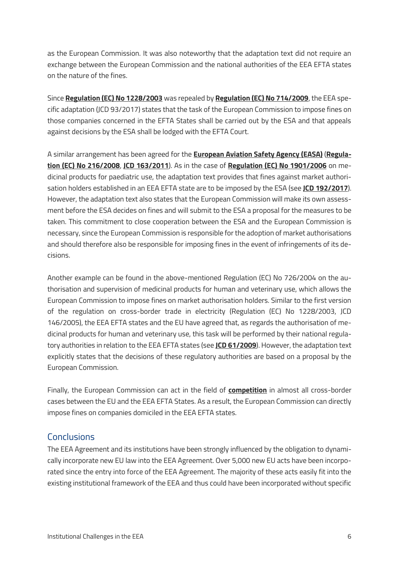as the European Commission. It was also noteworthy that the adaptation text did not require an exchange between the European Commission and the national authorities of the EEA EFTA states on the nature of the fines.

Since **[Regulation \(EC\) No 1228/2003](https://eur-lex.europa.eu/legal-content/EN/TXT/?qid=1551100548566&uri=CELEX%3A32003R1228)** was repealed by **[Regulation \(EC\) No 714/2009](https://eur-lex.europa.eu/legal-content/EN/TXT/?qid=1551100526204&uri=CELEX%3A32009R0714)**, the EEA specific adaptation (JCD 93/2017) states that the task of the European Commission to impose fines on those companies concerned in the EFTA States shall be carried out by the ESA and that appeals against decisions by the ESA shall be lodged with the EFTA Court.

A similar arrangement has been agreed for the **[European Aviation Safety Agency \(EASA\)](https://www.easa.europa.eu/)** (**[Regula](https://eur-lex.europa.eu/legal-content/EN/TXT/?qid=1551100594954&uri=CELEX%3A32008R0216)[tion \(EC\) No 216/2008](https://eur-lex.europa.eu/legal-content/EN/TXT/?qid=1551100594954&uri=CELEX%3A32008R0216)**, **[JCD 163/2011](https://www.efta.int/sites/default/files/documents/legal-texts/eea/other-legal-documents/adopted-joint-committee-decisions/2011%20-%20English/163-2011.pdf)**). As in the case of **[Regulation \(EC\) No 1901/2006](https://eur-lex.europa.eu/legal-content/EN/TXT/?qid=1551100572647&uri=CELEX%3A32006R1901)** on medicinal products for paediatric use, the adaptation text provides that fines against market authorisation holders established in an EEA EFTA state are to be imposed by the ESA (see **[JCD 192/2017](https://www.efta.int/sites/default/files/documents/legal-texts/eea/other-legal-documents/adopted-joint-committee-decisions/2017%20-%20English/192-2017.pdf)**). However, the adaptation text also states that the European Commission will make its own assessment before the ESA decides on fines and will submit to the ESA a proposal for the measures to be taken. This commitment to close cooperation between the ESA and the European Commission is necessary, since the European Commission is responsible for the adoption of market authorisations and should therefore also be responsible for imposing fines in the event of infringements of its decisions.

Another example can be found in the above-mentioned Regulation (EC) No 726/2004 on the authorisation and supervision of medicinal products for human and veterinary use, which allows the European Commission to impose fines on market authorisation holders. Similar to the first version of the regulation on cross-border trade in electricity (Regulation (EC) No 1228/2003, JCD 146/2005), the EEA EFTA states and the EU have agreed that, as regards the authorisation of medicinal products for human and veterinary use, this task will be performed by their national regulatory authorities in relation to the EEA EFTA states (see **[JCD 61/2009](https://www.efta.int/sites/default/files/documents/legal-texts/eea/other-legal-documents/adopted-joint-committee-decisions/2009%20-%20English/061-2009.pdf)**). However, the adaptation text explicitly states that the decisions of these regulatory authorities are based on a proposal by the European Commission.

Finally, the European Commission can act in the field of **[competition](http://www.eftasurv.int/competition/)** in almost all cross-border cases between the EU and the EEA EFTA States. As a result, the European Commission can directly impose fines on companies domiciled in the EEA EFTA states.

## **Conclusions**

The EEA Agreement and its institutions have been strongly influenced by the obligation to dynamically incorporate new EU law into the EEA Agreement. Over 5,000 new EU acts have been incorporated since the entry into force of the EEA Agreement. The majority of these acts easily fit into the existing institutional framework of the EEA and thus could have been incorporated without specific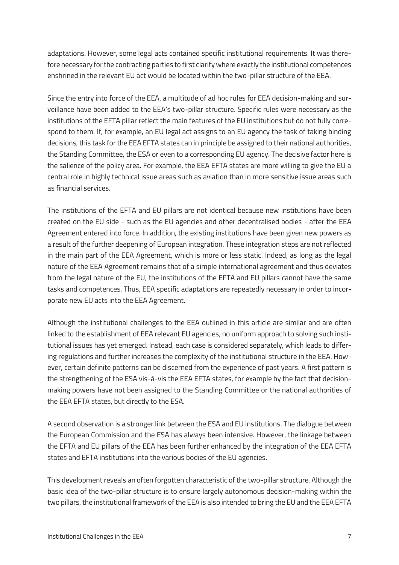adaptations. However, some legal acts contained specific institutional requirements. It was therefore necessary for the contracting parties to first clarify where exactly the institutional competences enshrined in the relevant EU act would be located within the two-pillar structure of the EEA.

Since the entry into force of the EEA, a multitude of ad hoc rules for EEA decision-making and surveillance have been added to the EEA's two-pillar structure. Specific rules were necessary as the institutions of the EFTA pillar reflect the main features of the EU institutions but do not fully correspond to them. If, for example, an EU legal act assigns to an EU agency the task of taking binding decisions, this task for the EEA EFTA states can in principle be assigned to their national authorities, the Standing Committee, the ESA or even to a corresponding EU agency. The decisive factor here is the salience of the policy area. For example, the EEA EFTA states are more willing to give the EU a central role in highly technical issue areas such as aviation than in more sensitive issue areas such as financial services.

The institutions of the EFTA and EU pillars are not identical because new institutions have been created on the EU side - such as the EU agencies and other decentralised bodies - after the EEA Agreement entered into force. In addition, the existing institutions have been given new powers as a result of the further deepening of European integration. These integration steps are not reflected in the main part of the EEA Agreement, which is more or less static. Indeed, as long as the legal nature of the EEA Agreement remains that of a simple international agreement and thus deviates from the legal nature of the EU, the institutions of the EFTA and EU pillars cannot have the same tasks and competences. Thus, EEA specific adaptations are repeatedly necessary in order to incorporate new EU acts into the EEA Agreement.

Although the institutional challenges to the EEA outlined in this article are similar and are often linked to the establishment of EEA relevant EU agencies, no uniform approach to solving such institutional issues has yet emerged. Instead, each case is considered separately, which leads to differing regulations and further increases the complexity of the institutional structure in the EEA. However, certain definite patterns can be discerned from the experience of past years. A first pattern is the strengthening of the ESA vis-à-vis the EEA EFTA states, for example by the fact that decisionmaking powers have not been assigned to the Standing Committee or the national authorities of the EEA EFTA states, but directly to the ESA.

A second observation is a stronger link between the ESA and EU institutions. The dialogue between the European Commission and the ESA has always been intensive. However, the linkage between the EFTA and EU pillars of the EEA has been further enhanced by the integration of the EEA EFTA states and EFTA institutions into the various bodies of the EU agencies.

This development reveals an often forgotten characteristic of the two-pillar structure. Although the basic idea of the two-pillar structure is to ensure largely autonomous decision-making within the two pillars, the institutional framework of the EEA is also intended to bring the EU and the EEA EFTA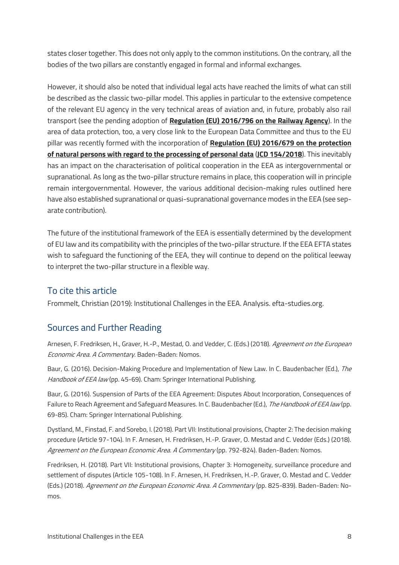states closer together. This does not only apply to the common institutions. On the contrary, all the bodies of the two pillars are constantly engaged in formal and informal exchanges.

However, it should also be noted that individual legal acts have reached the limits of what can still be described as the classic two-pillar model. This applies in particular to the extensive competence of the relevant EU agency in the very technical areas of aviation and, in future, probably also rail transport (see the pending adoption of **[Regulation \(EU\) 2016/796 on the Railway Agency](https://eur-lex.europa.eu/legal-content/EN/TXT/?qid=1551100656664&uri=CELEX%3A32016R0796)**). In the area of data protection, too, a very close link to the European Data Committee and thus to the EU pillar was recently formed with the incorporation of **[Regulation \(EU\) 2016/679 on the protection](https://eur-lex.europa.eu/legal-content/EN/TXT/?qid=1551100682451&uri=CELEX%3A32016R0679)  [of natural persons with regard to the processing of personal data](https://eur-lex.europa.eu/legal-content/EN/TXT/?qid=1551100682451&uri=CELEX%3A32016R0679)** (**[JCD 154/2018](https://www.efta.int/sites/default/files/documents/legal-texts/eea/other-legal-documents/adopted-joint-committee-decisions/2018%20-%20English/154-2018.pdf)**). This inevitably has an impact on the characterisation of political cooperation in the EEA as intergovernmental or supranational. As long as the two-pillar structure remains in place, this cooperation will in principle remain intergovernmental. However, the various additional decision-making rules outlined here have also established supranational or quasi-supranational governance modes in the EEA (see separate contribution).

The future of the institutional framework of the EEA is essentially determined by the development of EU law and its compatibility with the principles of the two-pillar structure. If the EEA EFTA states wish to safeguard the functioning of the EEA, they will continue to depend on the political leeway to interpret the two-pillar structure in a flexible way.

# To cite this article

Frommelt, Christian (2019): Institutional Challenges in the EEA. Analysis. efta-studies.org.

## Sources and Further Reading

Arnesen, F. Fredriksen, H., Graver, H.-P., Mestad, O. and Vedder, C. (Eds.) (2018). Agreement on the European Economic Area. A Commentary. Baden-Baden: Nomos.

Baur, G. (2016). Decision-Making Procedure and Implementation of New Law. In C. Baudenbacher (Ed.), The Handbook of EEA law (pp. 45-69). Cham: Springer International Publishing.

Baur, G. (2016). Suspension of Parts of the EEA Agreement: Disputes About Incorporation, Consequences of Failure to Reach Agreement and Safeguard Measures. In C. Baudenbacher (Ed.), The Handbook of EEA law (pp. 69-85). Cham: Springer International Publishing.

Dystland, M., Finstad, F. and Sorebo, I. (2018). Part VII: Institutional provisions, Chapter 2: The decision making procedure (Article 97-104). In F. Arnesen, H. Fredriksen, H.-P. Graver, O. Mestad and C. Vedder (Eds.) (2018). Agreement on the European Economic Area. A Commentary (pp. 792-824). Baden-Baden: Nomos.

Fredriksen, H. (2018). Part VII: Institutional provisions, Chapter 3: Homogeneity, surveillance procedure and settlement of disputes (Article 105-108). In F. Arnesen, H. Fredriksen, H.-P. Graver, O. Mestad and C. Vedder (Eds.) (2018). Agreement on the European Economic Area. A Commentary (pp. 825-839). Baden-Baden: Nomos.